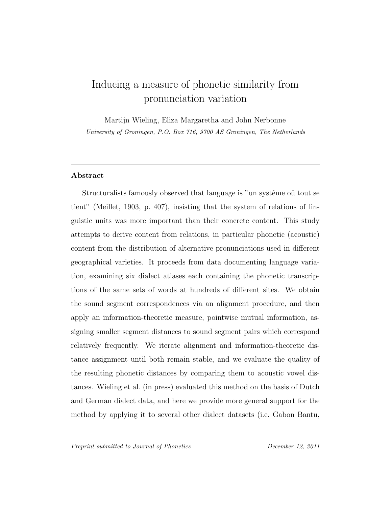# Inducing a measure of phonetic similarity from pronunciation variation

Martijn Wieling, Eliza Margaretha and John Nerbonne University of Groningen, P.O. Box 716, 9700 AS Groningen, The Netherlands

### Abstract

Structuralists famously observed that language is "un système où tout se tient" (Meillet, 1903, p. 407), insisting that the system of relations of linguistic units was more important than their concrete content. This study attempts to derive content from relations, in particular phonetic (acoustic) content from the distribution of alternative pronunciations used in different geographical varieties. It proceeds from data documenting language variation, examining six dialect atlases each containing the phonetic transcriptions of the same sets of words at hundreds of different sites. We obtain the sound segment correspondences via an alignment procedure, and then apply an information-theoretic measure, pointwise mutual information, assigning smaller segment distances to sound segment pairs which correspond relatively frequently. We iterate alignment and information-theoretic distance assignment until both remain stable, and we evaluate the quality of the resulting phonetic distances by comparing them to acoustic vowel distances. Wieling et al. (in press) evaluated this method on the basis of Dutch and German dialect data, and here we provide more general support for the method by applying it to several other dialect datasets (i.e. Gabon Bantu,

Preprint submitted to Journal of Phonetics December 12, 2011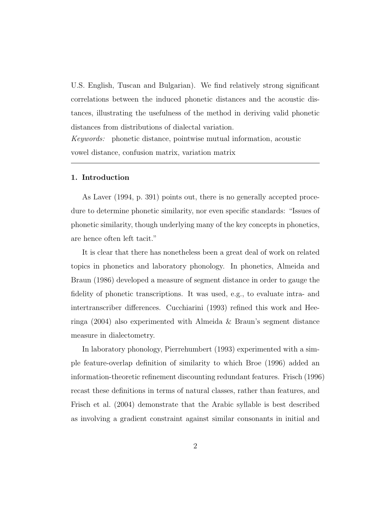U.S. English, Tuscan and Bulgarian). We find relatively strong significant correlations between the induced phonetic distances and the acoustic distances, illustrating the usefulness of the method in deriving valid phonetic distances from distributions of dialectal variation.

Keywords: phonetic distance, pointwise mutual information, acoustic vowel distance, confusion matrix, variation matrix

#### 1. Introduction

As Laver (1994, p. 391) points out, there is no generally accepted procedure to determine phonetic similarity, nor even specific standards: "Issues of phonetic similarity, though underlying many of the key concepts in phonetics, are hence often left tacit."

It is clear that there has nonetheless been a great deal of work on related topics in phonetics and laboratory phonology. In phonetics, Almeida and Braun (1986) developed a measure of segment distance in order to gauge the fidelity of phonetic transcriptions. It was used, e.g., to evaluate intra- and intertranscriber differences. Cucchiarini (1993) refined this work and Heeringa (2004) also experimented with Almeida & Braun's segment distance measure in dialectometry.

In laboratory phonology, Pierrehumbert (1993) experimented with a simple feature-overlap definition of similarity to which Broe (1996) added an information-theoretic refinement discounting redundant features. Frisch (1996) recast these definitions in terms of natural classes, rather than features, and Frisch et al. (2004) demonstrate that the Arabic syllable is best described as involving a gradient constraint against similar consonants in initial and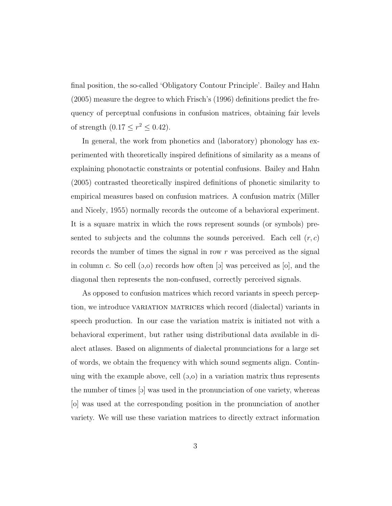final position, the so-called 'Obligatory Contour Principle'. Bailey and Hahn (2005) measure the degree to which Frisch's (1996) definitions predict the frequency of perceptual confusions in confusion matrices, obtaining fair levels of strength  $(0.17 \le r^2 \le 0.42)$ .

In general, the work from phonetics and (laboratory) phonology has experimented with theoretically inspired definitions of similarity as a means of explaining phonotactic constraints or potential confusions. Bailey and Hahn (2005) contrasted theoretically inspired definitions of phonetic similarity to empirical measures based on confusion matrices. A confusion matrix (Miller and Nicely, 1955) normally records the outcome of a behavioral experiment. It is a square matrix in which the rows represent sounds (or symbols) presented to subjects and the columns the sounds perceived. Each cell  $(r, c)$ records the number of times the signal in row r was perceived as the signal in column c. So cell  $(5,0)$  records how often [o] was perceived as [o], and the diagonal then represents the non-confused, correctly perceived signals.

As opposed to confusion matrices which record variants in speech perception, we introduce variation matrices which record (dialectal) variants in speech production. In our case the variation matrix is initiated not with a behavioral experiment, but rather using distributional data available in dialect atlases. Based on alignments of dialectal pronunciations for a large set of words, we obtain the frequency with which sound segments align. Continuing with the example above, cell  $(5,0)$  in a variation matrix thus represents the number of times [o] was used in the pronunciation of one variety, whereas [o] was used at the corresponding position in the pronunciation of another variety. We will use these variation matrices to directly extract information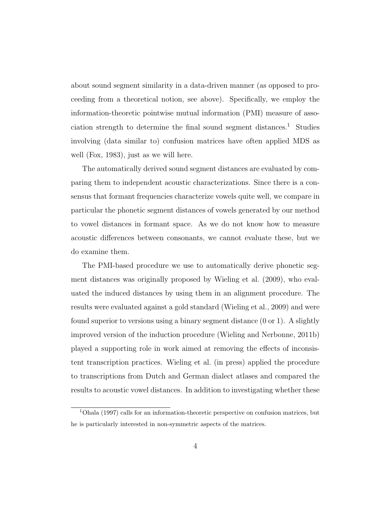about sound segment similarity in a data-driven manner (as opposed to proceeding from a theoretical notion, see above). Specifically, we employ the information-theoretic pointwise mutual information (PMI) measure of association strength to determine the final sound segment distances.<sup>1</sup> Studies involving (data similar to) confusion matrices have often applied MDS as well (Fox, 1983), just as we will here.

The automatically derived sound segment distances are evaluated by comparing them to independent acoustic characterizations. Since there is a consensus that formant frequencies characterize vowels quite well, we compare in particular the phonetic segment distances of vowels generated by our method to vowel distances in formant space. As we do not know how to measure acoustic differences between consonants, we cannot evaluate these, but we do examine them.

The PMI-based procedure we use to automatically derive phonetic segment distances was originally proposed by Wieling et al. (2009), who evaluated the induced distances by using them in an alignment procedure. The results were evaluated against a gold standard (Wieling et al., 2009) and were found superior to versions using a binary segment distance  $(0 \text{ or } 1)$ . A slightly improved version of the induction procedure (Wieling and Nerbonne, 2011b) played a supporting role in work aimed at removing the effects of inconsistent transcription practices. Wieling et al. (in press) applied the procedure to transcriptions from Dutch and German dialect atlases and compared the results to acoustic vowel distances. In addition to investigating whether these

<sup>1</sup>Ohala (1997) calls for an information-theoretic perspective on confusion matrices, but he is particularly interested in non-symmetric aspects of the matrices.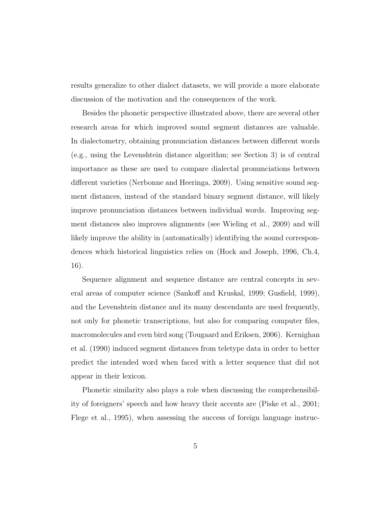results generalize to other dialect datasets, we will provide a more elaborate discussion of the motivation and the consequences of the work.

Besides the phonetic perspective illustrated above, there are several other research areas for which improved sound segment distances are valuable. In dialectometry, obtaining pronunciation distances between different words (e.g., using the Levenshtein distance algorithm; see Section 3) is of central importance as these are used to compare dialectal pronunciations between different varieties (Nerbonne and Heeringa, 2009). Using sensitive sound segment distances, instead of the standard binary segment distance, will likely improve pronunciation distances between individual words. Improving segment distances also improves alignments (see Wieling et al., 2009) and will likely improve the ability in (automatically) identifying the sound correspondences which historical linguistics relies on (Hock and Joseph, 1996, Ch.4, 16).

Sequence alignment and sequence distance are central concepts in several areas of computer science (Sankoff and Kruskal, 1999; Gusfield, 1999), and the Levenshtein distance and its many descendants are used frequently, not only for phonetic transcriptions, but also for comparing computer files, macromolecules and even bird song (Tougaard and Eriksen, 2006). Kernighan et al. (1990) induced segment distances from teletype data in order to better predict the intended word when faced with a letter sequence that did not appear in their lexicon.

Phonetic similarity also plays a role when discussing the comprehensibility of foreigners' speech and how heavy their accents are (Piske et al., 2001; Flege et al., 1995), when assessing the success of foreign language instruc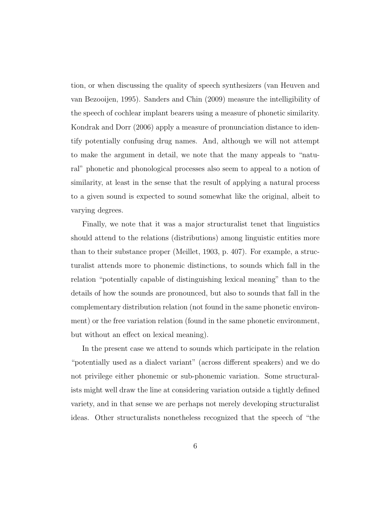tion, or when discussing the quality of speech synthesizers (van Heuven and van Bezooijen, 1995). Sanders and Chin (2009) measure the intelligibility of the speech of cochlear implant bearers using a measure of phonetic similarity. Kondrak and Dorr (2006) apply a measure of pronunciation distance to identify potentially confusing drug names. And, although we will not attempt to make the argument in detail, we note that the many appeals to "natural" phonetic and phonological processes also seem to appeal to a notion of similarity, at least in the sense that the result of applying a natural process to a given sound is expected to sound somewhat like the original, albeit to varying degrees.

Finally, we note that it was a major structuralist tenet that linguistics should attend to the relations (distributions) among linguistic entities more than to their substance proper (Meillet, 1903, p. 407). For example, a structuralist attends more to phonemic distinctions, to sounds which fall in the relation "potentially capable of distinguishing lexical meaning" than to the details of how the sounds are pronounced, but also to sounds that fall in the complementary distribution relation (not found in the same phonetic environment) or the free variation relation (found in the same phonetic environment, but without an effect on lexical meaning).

In the present case we attend to sounds which participate in the relation "potentially used as a dialect variant" (across different speakers) and we do not privilege either phonemic or sub-phonemic variation. Some structuralists might well draw the line at considering variation outside a tightly defined variety, and in that sense we are perhaps not merely developing structuralist ideas. Other structuralists nonetheless recognized that the speech of "the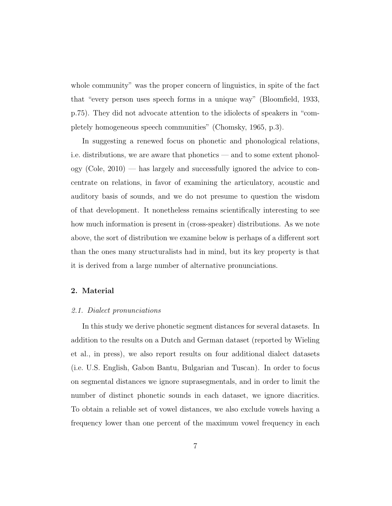whole community" was the proper concern of linguistics, in spite of the fact that "every person uses speech forms in a unique way" (Bloomfield, 1933, p.75). They did not advocate attention to the idiolects of speakers in "completely homogeneous speech communities" (Chomsky, 1965, p.3).

In suggesting a renewed focus on phonetic and phonological relations, i.e. distributions, we are aware that phonetics — and to some extent phonology (Cole, 2010) — has largely and successfully ignored the advice to concentrate on relations, in favor of examining the articulatory, acoustic and auditory basis of sounds, and we do not presume to question the wisdom of that development. It nonetheless remains scientifically interesting to see how much information is present in (cross-speaker) distributions. As we note above, the sort of distribution we examine below is perhaps of a different sort than the ones many structuralists had in mind, but its key property is that it is derived from a large number of alternative pronunciations.

#### 2. Material

### 2.1. Dialect pronunciations

In this study we derive phonetic segment distances for several datasets. In addition to the results on a Dutch and German dataset (reported by Wieling et al., in press), we also report results on four additional dialect datasets (i.e. U.S. English, Gabon Bantu, Bulgarian and Tuscan). In order to focus on segmental distances we ignore suprasegmentals, and in order to limit the number of distinct phonetic sounds in each dataset, we ignore diacritics. To obtain a reliable set of vowel distances, we also exclude vowels having a frequency lower than one percent of the maximum vowel frequency in each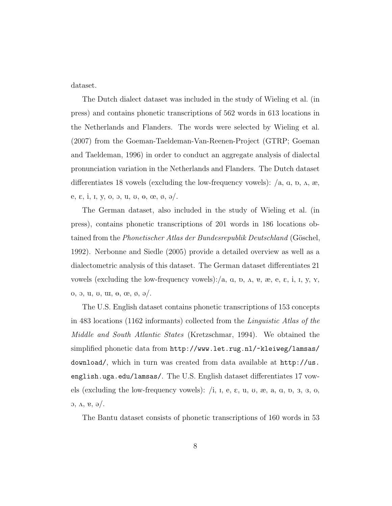dataset.

The Dutch dialect dataset was included in the study of Wieling et al. (in press) and contains phonetic transcriptions of 562 words in 613 locations in the Netherlands and Flanders. The words were selected by Wieling et al. (2007) from the Goeman-Taeldeman-Van-Reenen-Project (GTRP; Goeman and Taeldeman, 1996) in order to conduct an aggregate analysis of dialectal pronunciation variation in the Netherlands and Flanders. The Dutch dataset differentiates 18 vowels (excluding the low-frequency vowels):  $\langle a, \alpha, b, \alpha, \alpha \rangle$ e,  $\varepsilon$ , i, I, y, o, o, u,  $v$ ,  $\theta$ ,  $\varpi$ ,  $\varnothing$ ,  $\vartheta$ ,

The German dataset, also included in the study of Wieling et al. (in press), contains phonetic transcriptions of 201 words in 186 locations obtained from the *Phonetischer Atlas der Bundesrepublik Deutschland* (Göschel, 1992). Nerbonne and Siedle (2005) provide a detailed overview as well as a dialectometric analysis of this dataset. The German dataset differentiates 21 vowels (excluding the low-frequency vowels):/a,  $\alpha$ ,  $\beta$ ,  $\alpha$ ,  $\gamma$ ,  $\alpha$ ,  $\beta$ ,  $\beta$ ,  $\beta$ ,  $\gamma$ ,  $\gamma$ , o,  $\vartheta$ ,  $\vartheta$ ,  $\vartheta$ ,  $\vartheta$ ,  $\vartheta$ ,  $\vartheta$ ,  $\vartheta$ ,  $\vartheta$ ,  $\vartheta$ ,  $\vartheta$ ,  $\vartheta$ ,  $\vartheta$ ,  $\vartheta$ ,  $\vartheta$ ,  $\vartheta$ ,  $\vartheta$ ,  $\vartheta$ ,  $\vartheta$ ,  $\vartheta$ ,  $\vartheta$ ,  $\vartheta$ ,  $\vartheta$ ,  $\vartheta$ ,  $\vartheta$ ,  $\vartheta$ ,  $\vartheta$ ,  $\vartheta$ ,  $\vartheta$ ,  $\vartheta$ ,  $\vartheta$ ,  $\vartheta$ ,

The U.S. English dataset contains phonetic transcriptions of 153 concepts in 483 locations (1162 informants) collected from the Linguistic Atlas of the Middle and South Atlantic States (Kretzschmar, 1994). We obtained the simplified phonetic data from http://www.let.rug.nl/~kleiweg/lamsas/ download/, which in turn was created from data available at http://us. english.uga.edu/lamsas/. The U.S. English dataset differentiates 17 vowels (excluding the low-frequency vowels):  $\ell$ , I, e,  $\varepsilon$ , u,  $\upsilon$ ,  $\omega$ ,  $\omega$ ,  $\alpha$ ,  $\upsilon$ ,  $\upsilon$ ,  $\alpha$ ,  $\upsilon$ ,  $\upsilon$ ,  $\alpha$ ,  $\upsilon$ ,  $\upsilon$ ,  $\upsilon$ ,  $\upsilon$ ,  $\upsilon$ ,  $\upsilon$ ,  $\upsilon$ ,  $\upsilon$ ,  $\upsilon$ ,  $\upsilon$ ,  $\upsilon$ ,  $\upsilon$ ,  $\upsilon$ ,  $\alpha$ ,  $\alpha$ ,  $\theta$ ,  $\partial$ .

The Bantu dataset consists of phonetic transcriptions of 160 words in 53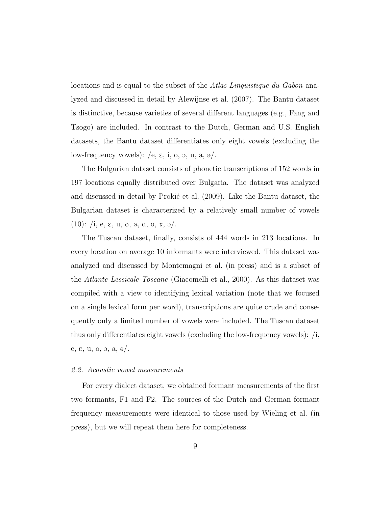locations and is equal to the subset of the Atlas Linguistique du Gabon analyzed and discussed in detail by Alewijnse et al. (2007). The Bantu dataset is distinctive, because varieties of several different languages (e.g., Fang and Tsogo) are included. In contrast to the Dutch, German and U.S. English datasets, the Bantu dataset differentiates only eight vowels (excluding the low-frequency vowels):  $/e$ ,  $\varepsilon$ , i, o, o, u, a,  $\partial$ .

The Bulgarian dataset consists of phonetic transcriptions of 152 words in 197 locations equally distributed over Bulgaria. The dataset was analyzed and discussed in detail by Prokić et al. (2009). Like the Bantu dataset, the Bulgarian dataset is characterized by a relatively small number of vowels (10): /i, e,  $\varepsilon$ , u, v, a, q, o,  $\chi$ ,  $\partial/$ .

The Tuscan dataset, finally, consists of 444 words in 213 locations. In every location on average 10 informants were interviewed. This dataset was analyzed and discussed by Montemagni et al. (in press) and is a subset of the Atlante Lessicale Toscane (Giacomelli et al., 2000). As this dataset was compiled with a view to identifying lexical variation (note that we focused on a single lexical form per word), transcriptions are quite crude and consequently only a limited number of vowels were included. The Tuscan dataset thus only differentiates eight vowels (excluding the low-frequency vowels):  $/i$ , e,  $\varepsilon$ , u, o, o, a,  $\partial$ .

#### 2.2. Acoustic vowel measurements

For every dialect dataset, we obtained formant measurements of the first two formants, F1 and F2. The sources of the Dutch and German formant frequency measurements were identical to those used by Wieling et al. (in press), but we will repeat them here for completeness.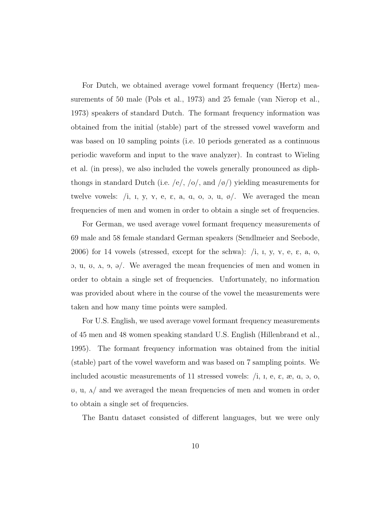For Dutch, we obtained average vowel formant frequency (Hertz) measurements of 50 male (Pols et al., 1973) and 25 female (van Nierop et al., 1973) speakers of standard Dutch. The formant frequency information was obtained from the initial (stable) part of the stressed vowel waveform and was based on 10 sampling points (i.e. 10 periods generated as a continuous periodic waveform and input to the wave analyzer). In contrast to Wieling et al. (in press), we also included the vowels generally pronounced as diphthongs in standard Dutch (i.e. /e/, /o/, and /ø/) yielding measurements for twelve vowels: /i, I, y, Y, e, E, a, A, o, O, u, ø/. We averaged the mean frequencies of men and women in order to obtain a single set of frequencies.

For German, we used average vowel formant frequency measurements of 69 male and 58 female standard German speakers (Sendlmeier and Seebode, 2006) for 14 vowels (stressed, except for the schwa):  $(i, i, y, x, e, \varepsilon, a, o,$  $\alpha$ , u, u,  $\alpha$ ,  $\beta$ ,  $\beta$ . We averaged the mean frequencies of men and women in order to obtain a single set of frequencies. Unfortunately, no information was provided about where in the course of the vowel the measurements were taken and how many time points were sampled.

For U.S. English, we used average vowel formant frequency measurements of 45 men and 48 women speaking standard U.S. English (Hillenbrand et al., 1995). The formant frequency information was obtained from the initial (stable) part of the vowel waveform and was based on 7 sampling points. We included acoustic measurements of 11 stressed vowels:  $(i, i, e, \varepsilon, \varepsilon, \alpha, \varepsilon, \alpha, \delta, \delta, \delta)$  $U$ ,  $U$ ,  $\Lambda$  and we averaged the mean frequencies of men and women in order to obtain a single set of frequencies.

The Bantu dataset consisted of different languages, but we were only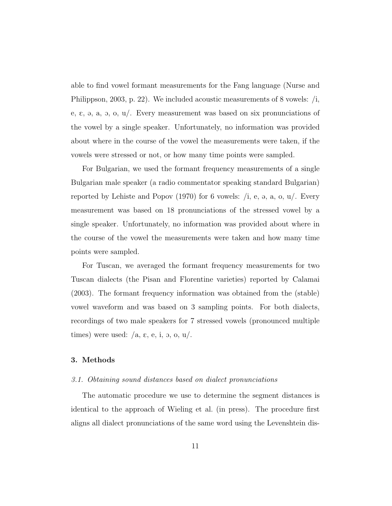able to find vowel formant measurements for the Fang language (Nurse and Philippson, 2003, p. 22). We included acoustic measurements of 8 vowels:  $/i$ , e,  $\varepsilon$ ,  $\vartheta$ ,  $\vartheta$ ,  $\vartheta$ ,  $\vartheta$ ,  $\vartheta$ . Every measurement was based on six pronunciations of the vowel by a single speaker. Unfortunately, no information was provided about where in the course of the vowel the measurements were taken, if the vowels were stressed or not, or how many time points were sampled.

For Bulgarian, we used the formant frequency measurements of a single Bulgarian male speaker (a radio commentator speaking standard Bulgarian) reported by Lehiste and Popov (1970) for 6 vowels:  $/i$ , e, a, o,  $u/$ . Every measurement was based on 18 pronunciations of the stressed vowel by a single speaker. Unfortunately, no information was provided about where in the course of the vowel the measurements were taken and how many time points were sampled.

For Tuscan, we averaged the formant frequency measurements for two Tuscan dialects (the Pisan and Florentine varieties) reported by Calamai (2003). The formant frequency information was obtained from the (stable) vowel waveform and was based on 3 sampling points. For both dialects, recordings of two male speakers for 7 stressed vowels (pronounced multiple times) were used:  $/a$ ,  $\varepsilon$ ,  $e$ ,  $i$ ,  $o$ ,  $o$ ,  $u$ .

## 3. Methods

### 3.1. Obtaining sound distances based on dialect pronunciations

The automatic procedure we use to determine the segment distances is identical to the approach of Wieling et al. (in press). The procedure first aligns all dialect pronunciations of the same word using the Levenshtein dis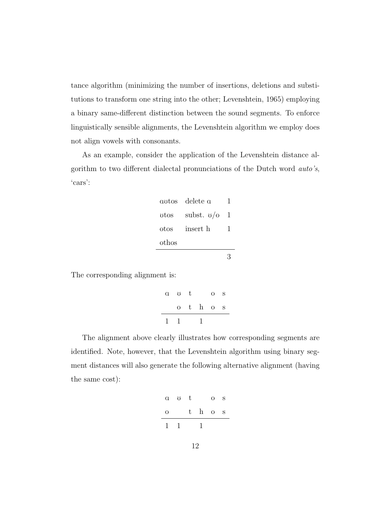tance algorithm (minimizing the number of insertions, deletions and substitutions to transform one string into the other; Levenshtein, 1965) employing a binary same-different distinction between the sound segments. To enforce linguistically sensible alignments, the Levenshtein algorithm we employ does not align vowels with consonants.

As an example, consider the application of the Levenshtein distance algorithm to two different dialectal pronunciations of the Dutch word auto's, 'cars':

|       | avtos delete a |    |
|-------|----------------|----|
| utos  | subst. $v/o$   | -1 |
| otos  | insert h       | L  |
| othos |                |    |
|       |                |    |

The corresponding alignment is:

| a v t       |          | $O_S$ |  |
|-------------|----------|-------|--|
|             | $o$ thos |       |  |
| $1 \quad 1$ |          |       |  |

The alignment above clearly illustrates how corresponding segments are identified. Note, however, that the Levenshtein algorithm using binary segment distances will also generate the following alternative alignment (having the same cost):

|              | a v t |             | $\Omega$ | - S |
|--------------|-------|-------------|----------|-----|
| $\Omega$     |       | $t$ h $o$ s |          |     |
| $\mathbf{1}$ |       |             |          |     |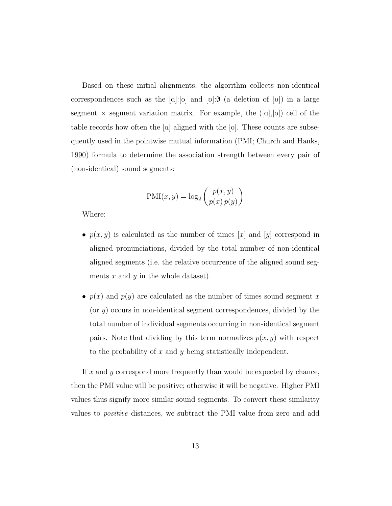Based on these initial alignments, the algorithm collects non-identical correspondences such as the  $\alpha$ :[o] and  $\alpha$ : $\emptyset$  (a deletion of  $\alpha$ ) in a large segment  $\times$  segment variation matrix. For example, the  $([a],[o])$  cell of the table records how often the  $\alpha$  aligned with the  $\alpha$ . These counts are subsequently used in the pointwise mutual information (PMI; Church and Hanks, 1990) formula to determine the association strength between every pair of (non-identical) sound segments:

$$
PMI(x, y) = \log_2\left(\frac{p(x, y)}{p(x) p(y)}\right)
$$

Where:

- $p(x, y)$  is calculated as the number of times [x] and [y] correspond in aligned pronunciations, divided by the total number of non-identical aligned segments (i.e. the relative occurrence of the aligned sound segments  $x$  and  $y$  in the whole dataset).
- $p(x)$  and  $p(y)$  are calculated as the number of times sound segment x (or  $y$ ) occurs in non-identical segment correspondences, divided by the total number of individual segments occurring in non-identical segment pairs. Note that dividing by this term normalizes  $p(x, y)$  with respect to the probability of x and y being statistically independent.

If  $x$  and  $y$  correspond more frequently than would be expected by chance, then the PMI value will be positive; otherwise it will be negative. Higher PMI values thus signify more similar sound segments. To convert these similarity values to positive distances, we subtract the PMI value from zero and add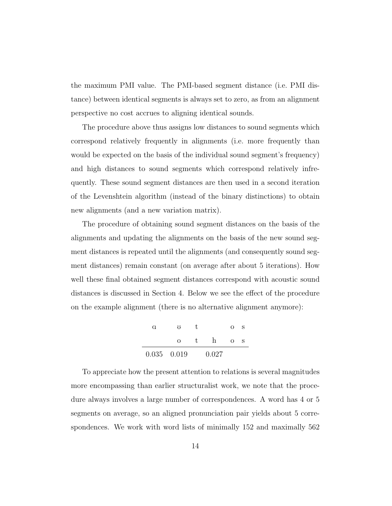the maximum PMI value. The PMI-based segment distance (i.e. PMI distance) between identical segments is always set to zero, as from an alignment perspective no cost accrues to aligning identical sounds.

The procedure above thus assigns low distances to sound segments which correspond relatively frequently in alignments (i.e. more frequently than would be expected on the basis of the individual sound segment's frequency) and high distances to sound segments which correspond relatively infrequently. These sound segment distances are then used in a second iteration of the Levenshtein algorithm (instead of the binary distinctions) to obtain new alignments (and a new variation matrix).

The procedure of obtaining sound segment distances on the basis of the alignments and updating the alignments on the basis of the new sound segment distances is repeated until the alignments (and consequently sound segment distances) remain constant (on average after about 5 iterations). How well these final obtained segment distances correspond with acoustic sound distances is discussed in Section 4. Below we see the effect of the procedure on the example alignment (there is no alternative alignment anymore):

| a             | 75       |    |       | $\Omega$ | S |
|---------------|----------|----|-------|----------|---|
|               | $\Omega$ | t. | h     | $\Omega$ | S |
| $0.035$ 0.019 |          |    | 0.027 |          |   |

To appreciate how the present attention to relations is several magnitudes more encompassing than earlier structuralist work, we note that the procedure always involves a large number of correspondences. A word has 4 or 5 segments on average, so an aligned pronunciation pair yields about 5 correspondences. We work with word lists of minimally 152 and maximally 562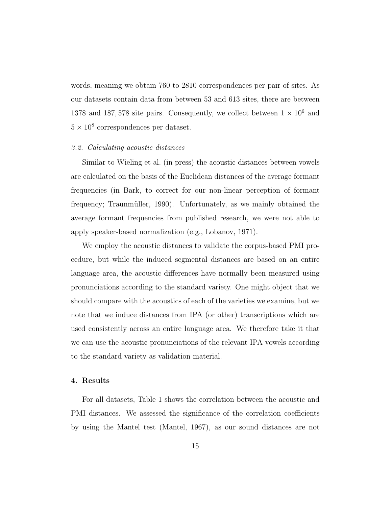words, meaning we obtain 760 to 2810 correspondences per pair of sites. As our datasets contain data from between 53 and 613 sites, there are between 1378 and 187, 578 site pairs. Consequently, we collect between  $1 \times 10^6$  and  $5 \times 10^8$  correspondences per dataset.

#### 3.2. Calculating acoustic distances

Similar to Wieling et al. (in press) the acoustic distances between vowels are calculated on the basis of the Euclidean distances of the average formant frequencies (in Bark, to correct for our non-linear perception of formant frequency; Traunmüller, 1990). Unfortunately, as we mainly obtained the average formant frequencies from published research, we were not able to apply speaker-based normalization (e.g., Lobanov, 1971).

We employ the acoustic distances to validate the corpus-based PMI procedure, but while the induced segmental distances are based on an entire language area, the acoustic differences have normally been measured using pronunciations according to the standard variety. One might object that we should compare with the acoustics of each of the varieties we examine, but we note that we induce distances from IPA (or other) transcriptions which are used consistently across an entire language area. We therefore take it that we can use the acoustic pronunciations of the relevant IPA vowels according to the standard variety as validation material.

### 4. Results

For all datasets, Table 1 shows the correlation between the acoustic and PMI distances. We assessed the significance of the correlation coefficients by using the Mantel test (Mantel, 1967), as our sound distances are not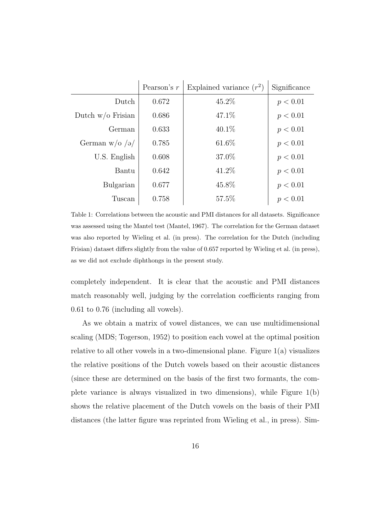|                     | Pearson's $r$ | Explained variance $(r^2)$ | Significance |
|---------------------|---------------|----------------------------|--------------|
| Dutch               | 0.672         | 45.2%                      | p < 0.01     |
| Dutch $w/o$ Frisian | 0.686         | 47.1%                      | p < 0.01     |
| German              | 0.633         | $40.1\%$                   | p < 0.01     |
| German $w/o$ /ə/    | 0.785         | 61.6%                      | p < 0.01     |
| U.S. English        | 0.608         | 37.0%                      | p < 0.01     |
| Bantu               | 0.642         | 41.2%                      | p < 0.01     |
| Bulgarian           | 0.677         | 45.8%                      | p < 0.01     |
| Tuscan              | 0.758         | 57.5%                      | p < 0.01     |

Table 1: Correlations between the acoustic and PMI distances for all datasets. Significance was assessed using the Mantel test (Mantel, 1967). The correlation for the German dataset was also reported by Wieling et al. (in press). The correlation for the Dutch (including Frisian) dataset differs slightly from the value of 0.657 reported by Wieling et al. (in press), as we did not exclude diphthongs in the present study.

completely independent. It is clear that the acoustic and PMI distances match reasonably well, judging by the correlation coefficients ranging from 0.61 to 0.76 (including all vowels).

As we obtain a matrix of vowel distances, we can use multidimensional scaling (MDS; Togerson, 1952) to position each vowel at the optimal position relative to all other vowels in a two-dimensional plane. Figure  $1(a)$  visualizes the relative positions of the Dutch vowels based on their acoustic distances (since these are determined on the basis of the first two formants, the complete variance is always visualized in two dimensions), while Figure 1(b) shows the relative placement of the Dutch vowels on the basis of their PMI distances (the latter figure was reprinted from Wieling et al., in press). Sim-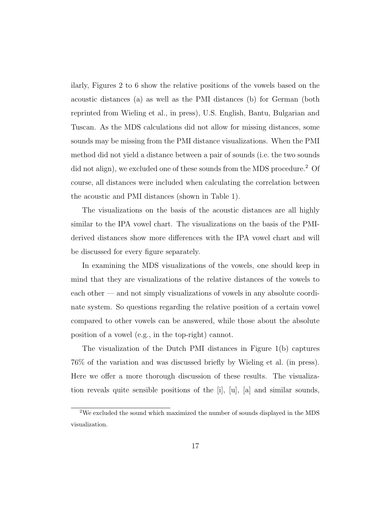ilarly, Figures 2 to 6 show the relative positions of the vowels based on the acoustic distances (a) as well as the PMI distances (b) for German (both reprinted from Wieling et al., in press), U.S. English, Bantu, Bulgarian and Tuscan. As the MDS calculations did not allow for missing distances, some sounds may be missing from the PMI distance visualizations. When the PMI method did not yield a distance between a pair of sounds (i.e. the two sounds did not align), we excluded one of these sounds from the MDS procedure.<sup>2</sup> Of course, all distances were included when calculating the correlation between the acoustic and PMI distances (shown in Table 1).

The visualizations on the basis of the acoustic distances are all highly similar to the IPA vowel chart. The visualizations on the basis of the PMIderived distances show more differences with the IPA vowel chart and will be discussed for every figure separately.

In examining the MDS visualizations of the vowels, one should keep in mind that they are visualizations of the relative distances of the vowels to each other — and not simply visualizations of vowels in any absolute coordinate system. So questions regarding the relative position of a certain vowel compared to other vowels can be answered, while those about the absolute position of a vowel (e.g., in the top-right) cannot.

The visualization of the Dutch PMI distances in Figure 1(b) captures 76% of the variation and was discussed briefly by Wieling et al. (in press). Here we offer a more thorough discussion of these results. The visualization reveals quite sensible positions of the [i], [u], [a] and similar sounds,

<sup>2</sup>We excluded the sound which maximized the number of sounds displayed in the MDS visualization.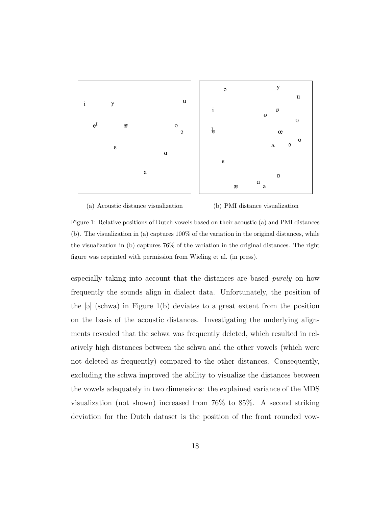

(a) Acoustic distance visualization (b) PMI distance visualization

Figure 1: Relative positions of Dutch vowels based on their acoustic (a) and PMI distances (b). The visualization in (a) captures 100% of the variation in the original distances, while the visualization in (b) captures 76% of the variation in the original distances. The right figure was reprinted with permission from Wieling et al. (in press).

especially taking into account that the distances are based purely on how frequently the sounds align in dialect data. Unfortunately, the position of the  $\lceil \Theta \rceil$  (schwa) in Figure 1(b) deviates to a great extent from the position on the basis of the acoustic distances. Investigating the underlying alignments revealed that the schwa was frequently deleted, which resulted in relatively high distances between the schwa and the other vowels (which were not deleted as frequently) compared to the other distances. Consequently, excluding the schwa improved the ability to visualize the distances between the vowels adequately in two dimensions: the explained variance of the MDS visualization (not shown) increased from 76% to 85%. A second striking deviation for the Dutch dataset is the position of the front rounded vow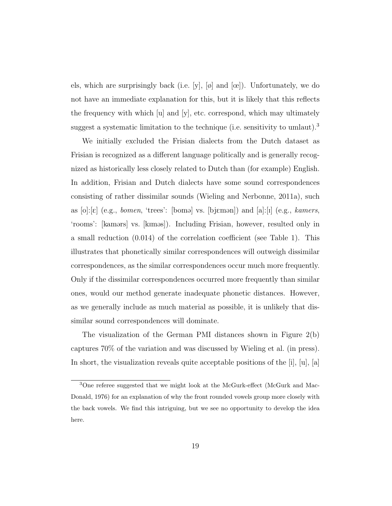els, which are surprisingly back (i.e. [y],  $[\emptyset]$  and  $[\emptyset]$ ). Unfortunately, we do not have an immediate explanation for this, but it is likely that this reflects the frequency with which [u] and [y], etc. correspond, which may ultimately suggest a systematic limitation to the technique (i.e. sensitivity to umlaut).<sup>3</sup>

We initially excluded the Frisian dialects from the Dutch dataset as Frisian is recognized as a different language politically and is generally recognized as historically less closely related to Dutch than (for example) English. In addition, Frisian and Dutch dialects have some sound correspondences consisting of rather dissimilar sounds (Wieling and Nerbonne, 2011a), such as  $[o][\varepsilon]$  (e.g., *bomen*, 'trees': [bomə] vs. [bj $\varepsilon$ mən]) and [a]:[i] (e.g., *kamers*, 'rooms': [kamərs] vs. [kiməs]). Including Frisian, however, resulted only in a small reduction (0.014) of the correlation coefficient (see Table 1). This illustrates that phonetically similar correspondences will outweigh dissimilar correspondences, as the similar correspondences occur much more frequently. Only if the dissimilar correspondences occurred more frequently than similar ones, would our method generate inadequate phonetic distances. However, as we generally include as much material as possible, it is unlikely that dissimilar sound correspondences will dominate.

The visualization of the German PMI distances shown in Figure 2(b) captures 70% of the variation and was discussed by Wieling et al. (in press). In short, the visualization reveals quite acceptable positions of the  $[i], [u], [a]$ 

<sup>3</sup>One referee suggested that we might look at the McGurk-effect (McGurk and Mac-Donald, 1976) for an explanation of why the front rounded vowels group more closely with the back vowels. We find this intriguing, but we see no opportunity to develop the idea here.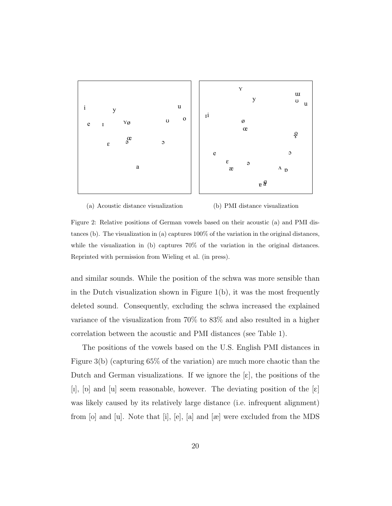

(a) Acoustic distance visualization (b) PMI distance visualization

Figure 2: Relative positions of German vowels based on their acoustic (a) and PMI distances (b). The visualization in (a) captures 100% of the variation in the original distances, while the visualization in (b) captures 70% of the variation in the original distances. Reprinted with permission from Wieling et al. (in press).

and similar sounds. While the position of the schwa was more sensible than in the Dutch visualization shown in Figure 1(b), it was the most frequently deleted sound. Consequently, excluding the schwa increased the explained variance of the visualization from 70% to 83% and also resulted in a higher correlation between the acoustic and PMI distances (see Table 1).

The positions of the vowels based on the U.S. English PMI distances in Figure 3(b) (capturing 65% of the variation) are much more chaotic than the Dutch and German visualizations. If we ignore the  $[\varepsilon]$ , the positions of the [I], [p] and [u] seem reasonable, however. The deviating position of the  $[\epsilon]$ was likely caused by its relatively large distance (i.e. infrequent alignment) from [o] and [u]. Note that [i], [e], [a] and [æ] were excluded from the MDS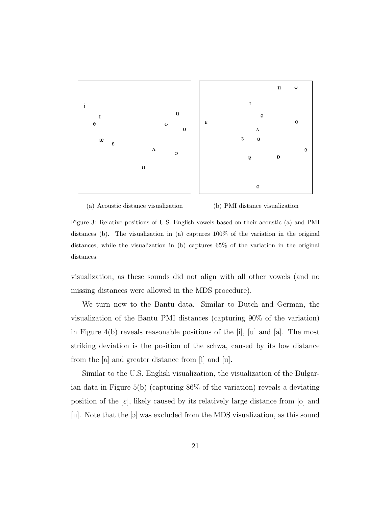

(a) Acoustic distance visualization

(b) PMI distance visualization

Figure 3: Relative positions of U.S. English vowels based on their acoustic (a) and PMI distances (b). The visualization in (a) captures 100% of the variation in the original distances, while the visualization in (b) captures 65% of the variation in the original distances.

visualization, as these sounds did not align with all other vowels (and no missing distances were allowed in the MDS procedure).

We turn now to the Bantu data. Similar to Dutch and German, the visualization of the Bantu PMI distances (capturing 90% of the variation) in Figure 4(b) reveals reasonable positions of the [i], [u] and [a]. The most striking deviation is the position of the schwa, caused by its low distance from the [a] and greater distance from [i] and [u].

Similar to the U.S. English visualization, the visualization of the Bulgarian data in Figure 5(b) (capturing 86% of the variation) reveals a deviating position of the  $[\epsilon]$ , likely caused by its relatively large distance from [o] and [u]. Note that the [O] was excluded from the MDS visualization, as this sound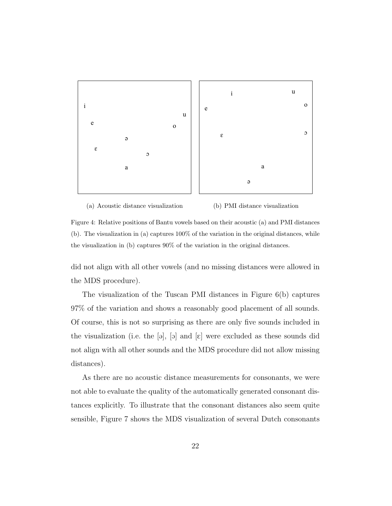

#### (a) Acoustic distance visualization (b) PMI distance visualization

Figure 4: Relative positions of Bantu vowels based on their acoustic (a) and PMI distances (b). The visualization in (a) captures 100% of the variation in the original distances, while the visualization in (b) captures 90% of the variation in the original distances.

did not align with all other vowels (and no missing distances were allowed in the MDS procedure).

The visualization of the Tuscan PMI distances in Figure 6(b) captures 97% of the variation and shows a reasonably good placement of all sounds. Of course, this is not so surprising as there are only five sounds included in the visualization (i.e. the  $[\vartheta]$ ,  $[\vartheta]$  and  $[\varepsilon]$  were excluded as these sounds did not align with all other sounds and the MDS procedure did not allow missing distances).

As there are no acoustic distance measurements for consonants, we were not able to evaluate the quality of the automatically generated consonant distances explicitly. To illustrate that the consonant distances also seem quite sensible, Figure 7 shows the MDS visualization of several Dutch consonants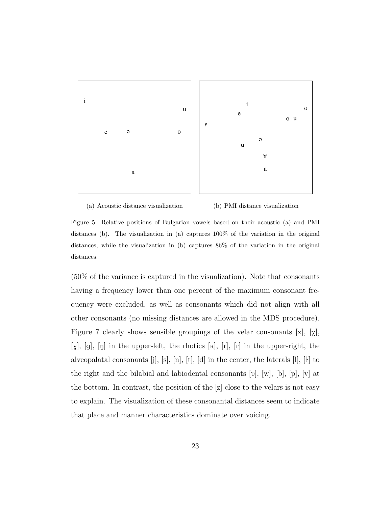

(a) Acoustic distance visualization

(b) PMI distance visualization

Figure 5: Relative positions of Bulgarian vowels based on their acoustic (a) and PMI distances (b). The visualization in (a) captures 100% of the variation in the original distances, while the visualization in (b) captures 86% of the variation in the original distances.

(50% of the variance is captured in the visualization). Note that consonants having a frequency lower than one percent of the maximum consonant frequency were excluded, as well as consonants which did not align with all other consonants (no missing distances are allowed in the MDS procedure). Figure 7 clearly shows sensible groupings of the velar consonants  $[x]$ ,  $[x]$ , [ $y$ ], [g], [n] in the upper-left, the rhotics [R], [r], [r] in the upper-right, the alveopalatal consonants [j], [s], [n], [t], [d] in the center, the laterals [l], [ë] to the right and the bilabial and labiodental consonants [V], [w], [b], [p], [v] at the bottom. In contrast, the position of the [z] close to the velars is not easy to explain. The visualization of these consonantal distances seem to indicate that place and manner characteristics dominate over voicing.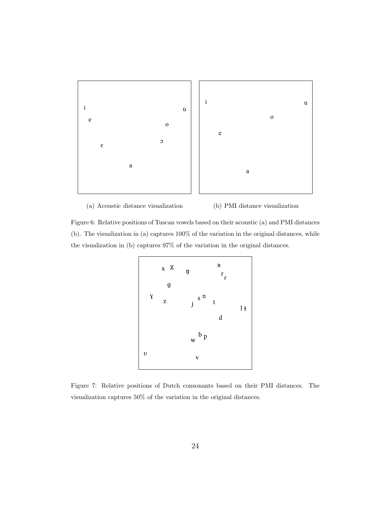

(a) Acoustic distance visualization (b) PMI distance visualization

Figure 6: Relative positions of Tuscan vowels based on their acoustic (a) and PMI distances (b). The visualization in (a) captures 100% of the variation in the original distances, while the visualization in (b) captures 97% of the variation in the original distances.



Figure 7: Relative positions of Dutch consonants based on their PMI distances. The visualization captures 50% of the variation in the original distances.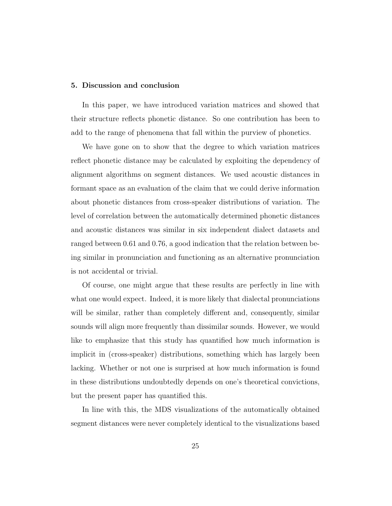#### 5. Discussion and conclusion

In this paper, we have introduced variation matrices and showed that their structure reflects phonetic distance. So one contribution has been to add to the range of phenomena that fall within the purview of phonetics.

We have gone on to show that the degree to which variation matrices reflect phonetic distance may be calculated by exploiting the dependency of alignment algorithms on segment distances. We used acoustic distances in formant space as an evaluation of the claim that we could derive information about phonetic distances from cross-speaker distributions of variation. The level of correlation between the automatically determined phonetic distances and acoustic distances was similar in six independent dialect datasets and ranged between 0.61 and 0.76, a good indication that the relation between being similar in pronunciation and functioning as an alternative pronunciation is not accidental or trivial.

Of course, one might argue that these results are perfectly in line with what one would expect. Indeed, it is more likely that dialectal pronunciations will be similar, rather than completely different and, consequently, similar sounds will align more frequently than dissimilar sounds. However, we would like to emphasize that this study has quantified how much information is implicit in (cross-speaker) distributions, something which has largely been lacking. Whether or not one is surprised at how much information is found in these distributions undoubtedly depends on one's theoretical convictions, but the present paper has quantified this.

In line with this, the MDS visualizations of the automatically obtained segment distances were never completely identical to the visualizations based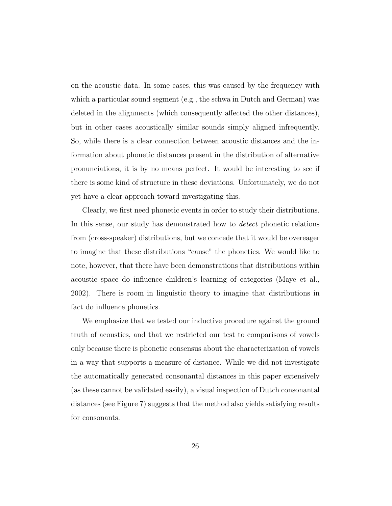on the acoustic data. In some cases, this was caused by the frequency with which a particular sound segment (e.g., the schwa in Dutch and German) was deleted in the alignments (which consequently affected the other distances), but in other cases acoustically similar sounds simply aligned infrequently. So, while there is a clear connection between acoustic distances and the information about phonetic distances present in the distribution of alternative pronunciations, it is by no means perfect. It would be interesting to see if there is some kind of structure in these deviations. Unfortunately, we do not yet have a clear approach toward investigating this.

Clearly, we first need phonetic events in order to study their distributions. In this sense, our study has demonstrated how to detect phonetic relations from (cross-speaker) distributions, but we concede that it would be overeager to imagine that these distributions "cause" the phonetics. We would like to note, however, that there have been demonstrations that distributions within acoustic space do influence children's learning of categories (Maye et al., 2002). There is room in linguistic theory to imagine that distributions in fact do influence phonetics.

We emphasize that we tested our inductive procedure against the ground truth of acoustics, and that we restricted our test to comparisons of vowels only because there is phonetic consensus about the characterization of vowels in a way that supports a measure of distance. While we did not investigate the automatically generated consonantal distances in this paper extensively (as these cannot be validated easily), a visual inspection of Dutch consonantal distances (see Figure 7) suggests that the method also yields satisfying results for consonants.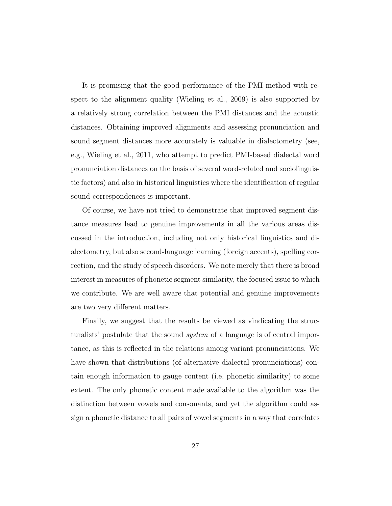It is promising that the good performance of the PMI method with respect to the alignment quality (Wieling et al., 2009) is also supported by a relatively strong correlation between the PMI distances and the acoustic distances. Obtaining improved alignments and assessing pronunciation and sound segment distances more accurately is valuable in dialectometry (see, e.g., Wieling et al., 2011, who attempt to predict PMI-based dialectal word pronunciation distances on the basis of several word-related and sociolinguistic factors) and also in historical linguistics where the identification of regular sound correspondences is important.

Of course, we have not tried to demonstrate that improved segment distance measures lead to genuine improvements in all the various areas discussed in the introduction, including not only historical linguistics and dialectometry, but also second-language learning (foreign accents), spelling correction, and the study of speech disorders. We note merely that there is broad interest in measures of phonetic segment similarity, the focused issue to which we contribute. We are well aware that potential and genuine improvements are two very different matters.

Finally, we suggest that the results be viewed as vindicating the structuralists' postulate that the sound system of a language is of central importance, as this is reflected in the relations among variant pronunciations. We have shown that distributions (of alternative dialectal pronunciations) contain enough information to gauge content (i.e. phonetic similarity) to some extent. The only phonetic content made available to the algorithm was the distinction between vowels and consonants, and yet the algorithm could assign a phonetic distance to all pairs of vowel segments in a way that correlates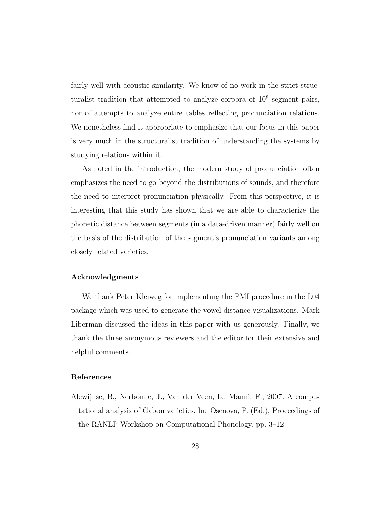fairly well with acoustic similarity. We know of no work in the strict structuralist tradition that attempted to analyze corpora of  $10^8$  segment pairs, nor of attempts to analyze entire tables reflecting pronunciation relations. We nonetheless find it appropriate to emphasize that our focus in this paper is very much in the structuralist tradition of understanding the systems by studying relations within it.

As noted in the introduction, the modern study of pronunciation often emphasizes the need to go beyond the distributions of sounds, and therefore the need to interpret pronunciation physically. From this perspective, it is interesting that this study has shown that we are able to characterize the phonetic distance between segments (in a data-driven manner) fairly well on the basis of the distribution of the segment's pronunciation variants among closely related varieties.

### Acknowledgments

We thank Peter Kleiweg for implementing the PMI procedure in the L04 package which was used to generate the vowel distance visualizations. Mark Liberman discussed the ideas in this paper with us generously. Finally, we thank the three anonymous reviewers and the editor for their extensive and helpful comments.

#### References

Alewijnse, B., Nerbonne, J., Van der Veen, L., Manni, F., 2007. A computational analysis of Gabon varieties. In: Osenova, P. (Ed.), Proceedings of the RANLP Workshop on Computational Phonology. pp. 3–12.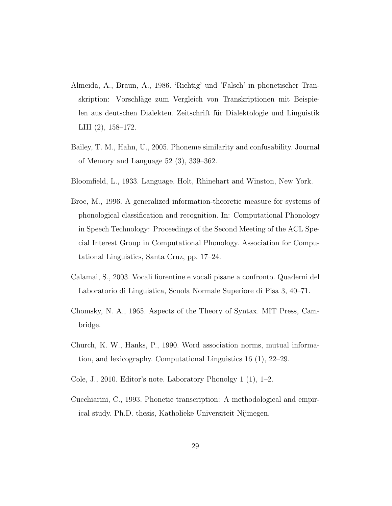- Almeida, A., Braun, A., 1986. 'Richtig' und 'Falsch' in phonetischer Transkription: Vorschläge zum Vergleich von Transkriptionen mit Beispielen aus deutschen Dialekten. Zeitschrift für Dialektologie und Linguistik LIII (2), 158–172.
- Bailey, T. M., Hahn, U., 2005. Phoneme similarity and confusability. Journal of Memory and Language 52 (3), 339–362.
- Bloomfield, L., 1933. Language. Holt, Rhinehart and Winston, New York.
- Broe, M., 1996. A generalized information-theoretic measure for systems of phonological classification and recognition. In: Computational Phonology in Speech Technology: Proceedings of the Second Meeting of the ACL Special Interest Group in Computational Phonology. Association for Computational Linguistics, Santa Cruz, pp. 17–24.
- Calamai, S., 2003. Vocali fiorentine e vocali pisane a confronto. Quaderni del Laboratorio di Linguistica, Scuola Normale Superiore di Pisa 3, 40–71.
- Chomsky, N. A., 1965. Aspects of the Theory of Syntax. MIT Press, Cambridge.
- Church, K. W., Hanks, P., 1990. Word association norms, mutual information, and lexicography. Computational Linguistics 16 (1), 22–29.
- Cole, J., 2010. Editor's note. Laboratory Phonolgy 1 (1), 1–2.
- Cucchiarini, C., 1993. Phonetic transcription: A methodological and empirical study. Ph.D. thesis, Katholieke Universiteit Nijmegen.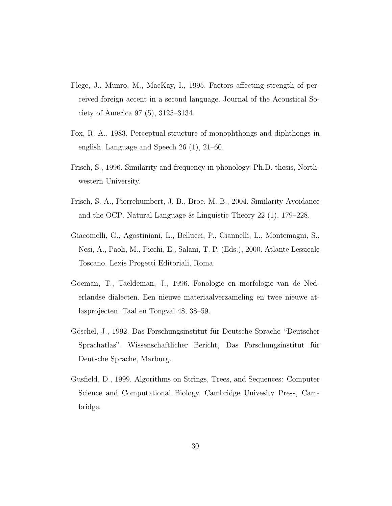- Flege, J., Munro, M., MacKay, I., 1995. Factors affecting strength of perceived foreign accent in a second language. Journal of the Acoustical Society of America 97 (5), 3125–3134.
- Fox, R. A., 1983. Perceptual structure of monophthongs and diphthongs in english. Language and Speech 26 (1), 21–60.
- Frisch, S., 1996. Similarity and frequency in phonology. Ph.D. thesis, Northwestern University.
- Frisch, S. A., Pierrehumbert, J. B., Broe, M. B., 2004. Similarity Avoidance and the OCP. Natural Language & Linguistic Theory 22 (1), 179–228.
- Giacomelli, G., Agostiniani, L., Bellucci, P., Giannelli, L., Montemagni, S., Nesi, A., Paoli, M., Picchi, E., Salani, T. P. (Eds.), 2000. Atlante Lessicale Toscano. Lexis Progetti Editoriali, Roma.
- Goeman, T., Taeldeman, J., 1996. Fonologie en morfologie van de Nederlandse dialecten. Een nieuwe materiaalverzameling en twee nieuwe atlasprojecten. Taal en Tongval 48, 38–59.
- Göschel, J., 1992. Das Forschungsinstitut für Deutsche Sprache "Deutscher Sprachatlas". Wissenschaftlicher Bericht, Das Forschungsinstitut für Deutsche Sprache, Marburg.
- Gusfield, D., 1999. Algorithms on Strings, Trees, and Sequences: Computer Science and Computational Biology. Cambridge Univesity Press, Cambridge.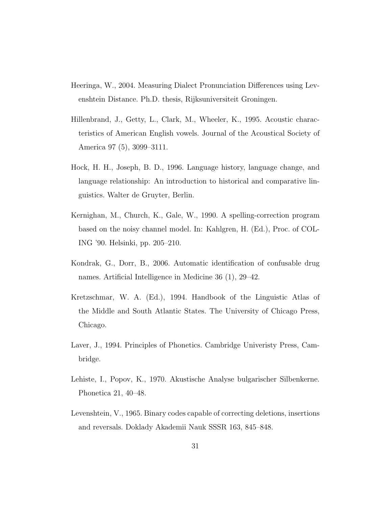- Heeringa, W., 2004. Measuring Dialect Pronunciation Differences using Levenshtein Distance. Ph.D. thesis, Rijksuniversiteit Groningen.
- Hillenbrand, J., Getty, L., Clark, M., Wheeler, K., 1995. Acoustic characteristics of American English vowels. Journal of the Acoustical Society of America 97 (5), 3099–3111.
- Hock, H. H., Joseph, B. D., 1996. Language history, language change, and language relationship: An introduction to historical and comparative linguistics. Walter de Gruyter, Berlin.
- Kernighan, M., Church, K., Gale, W., 1990. A spelling-correction program based on the noisy channel model. In: Kahlgren, H. (Ed.), Proc. of COL-ING '90. Helsinki, pp. 205–210.
- Kondrak, G., Dorr, B., 2006. Automatic identification of confusable drug names. Artificial Intelligence in Medicine 36 (1), 29–42.
- Kretzschmar, W. A. (Ed.), 1994. Handbook of the Linguistic Atlas of the Middle and South Atlantic States. The University of Chicago Press, Chicago.
- Laver, J., 1994. Principles of Phonetics. Cambridge Univeristy Press, Cambridge.
- Lehiste, I., Popov, K., 1970. Akustische Analyse bulgarischer Silbenkerne. Phonetica 21, 40–48.
- Levenshtein, V., 1965. Binary codes capable of correcting deletions, insertions and reversals. Doklady Akademii Nauk SSSR 163, 845–848.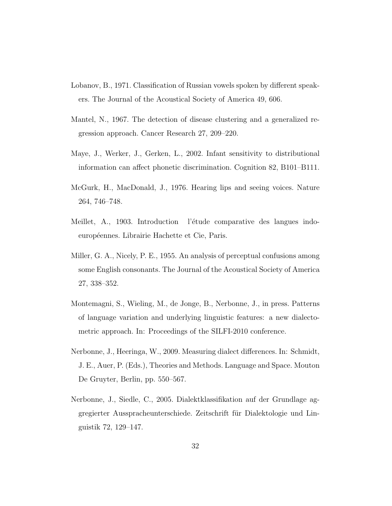- Lobanov, B., 1971. Classification of Russian vowels spoken by different speakers. The Journal of the Acoustical Society of America 49, 606.
- Mantel, N., 1967. The detection of disease clustering and a generalized regression approach. Cancer Research 27, 209–220.
- Maye, J., Werker, J., Gerken, L., 2002. Infant sensitivity to distributional information can affect phonetic discrimination. Cognition 82, B101–B111.
- McGurk, H., MacDonald, J., 1976. Hearing lips and seeing voices. Nature 264, 746–748.
- Meillet, A., 1903. Introduction l'étude comparative des langues indoeuropéennes. Librairie Hachette et Cie, Paris.
- Miller, G. A., Nicely, P. E., 1955. An analysis of perceptual confusions among some English consonants. The Journal of the Acoustical Society of America 27, 338–352.
- Montemagni, S., Wieling, M., de Jonge, B., Nerbonne, J., in press. Patterns of language variation and underlying linguistic features: a new dialectometric approach. In: Proceedings of the SILFI-2010 conference.
- Nerbonne, J., Heeringa, W., 2009. Measuring dialect differences. In: Schmidt, J. E., Auer, P. (Eds.), Theories and Methods. Language and Space. Mouton De Gruyter, Berlin, pp. 550–567.
- Nerbonne, J., Siedle, C., 2005. Dialektklassifikation auf der Grundlage aggregierter Ausspracheunterschiede. Zeitschrift für Dialektologie und Linguistik 72, 129–147.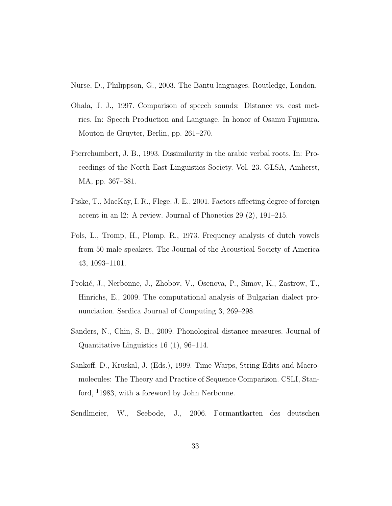Nurse, D., Philippson, G., 2003. The Bantu languages. Routledge, London.

- Ohala, J. J., 1997. Comparison of speech sounds: Distance vs. cost metrics. In: Speech Production and Language. In honor of Osamu Fujimura. Mouton de Gruyter, Berlin, pp. 261–270.
- Pierrehumbert, J. B., 1993. Dissimilarity in the arabic verbal roots. In: Proceedings of the North East Linguistics Society. Vol. 23. GLSA, Amherst, MA, pp. 367–381.
- Piske, T., MacKay, I. R., Flege, J. E., 2001. Factors affecting degree of foreign accent in an l2: A review. Journal of Phonetics 29 (2), 191–215.
- Pols, L., Tromp, H., Plomp, R., 1973. Frequency analysis of dutch vowels from 50 male speakers. The Journal of the Acoustical Society of America 43, 1093–1101.
- Prokić, J., Nerbonne, J., Zhobov, V., Osenova, P., Simov, K., Zastrow, T., Hinrichs, E., 2009. The computational analysis of Bulgarian dialect pronunciation. Serdica Journal of Computing 3, 269–298.
- Sanders, N., Chin, S. B., 2009. Phonological distance measures. Journal of Quantitative Linguistics 16 (1), 96–114.
- Sankoff, D., Kruskal, J. (Eds.), 1999. Time Warps, String Edits and Macromolecules: The Theory and Practice of Sequence Comparison. CSLI, Stanford, <sup>1</sup>1983, with a foreword by John Nerbonne.
- Sendlmeier, W., Seebode, J., 2006. Formantkarten des deutschen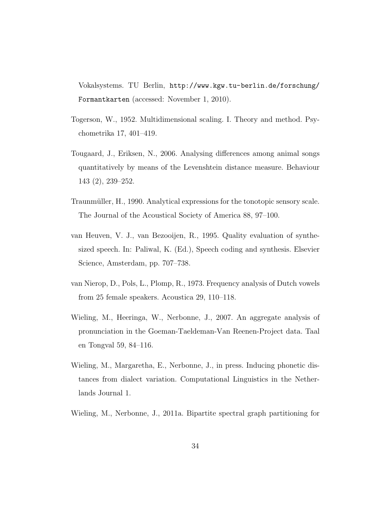Vokalsystems. TU Berlin, http://www.kgw.tu-berlin.de/forschung/ Formantkarten (accessed: November 1, 2010).

- Togerson, W., 1952. Multidimensional scaling. I. Theory and method. Psychometrika 17, 401–419.
- Tougaard, J., Eriksen, N., 2006. Analysing differences among animal songs quantitatively by means of the Levenshtein distance measure. Behaviour 143 (2), 239–252.
- Traunmüller, H., 1990. Analytical expressions for the tonotopic sensory scale. The Journal of the Acoustical Society of America 88, 97–100.
- van Heuven, V. J., van Bezooijen, R., 1995. Quality evaluation of synthesized speech. In: Paliwal, K. (Ed.), Speech coding and synthesis. Elsevier Science, Amsterdam, pp. 707–738.
- van Nierop, D., Pols, L., Plomp, R., 1973. Frequency analysis of Dutch vowels from 25 female speakers. Acoustica 29, 110–118.
- Wieling, M., Heeringa, W., Nerbonne, J., 2007. An aggregate analysis of pronunciation in the Goeman-Taeldeman-Van Reenen-Project data. Taal en Tongval 59, 84–116.
- Wieling, M., Margaretha, E., Nerbonne, J., in press. Inducing phonetic distances from dialect variation. Computational Linguistics in the Netherlands Journal 1.
- Wieling, M., Nerbonne, J., 2011a. Bipartite spectral graph partitioning for